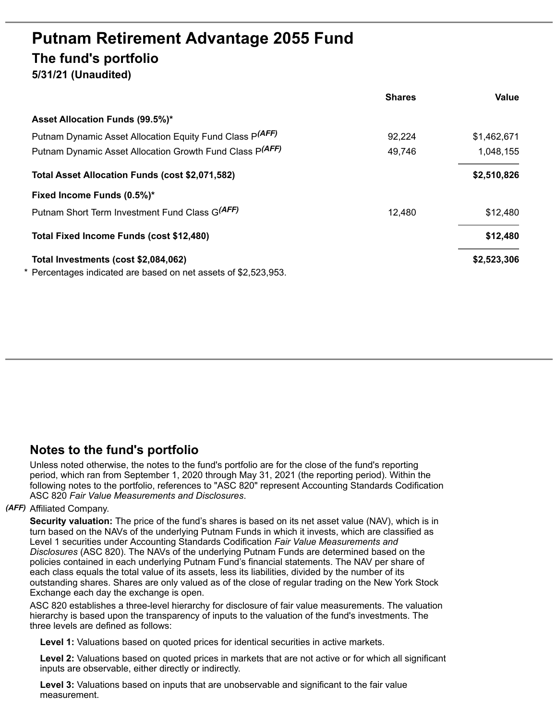# **Putnam Retirement Advantage 2055 Fund The fund's portfolio 5/31/21 (Unaudited)**

|                                                               | <b>Shares</b> | <b>Value</b> |
|---------------------------------------------------------------|---------------|--------------|
| Asset Allocation Funds (99.5%)*                               |               |              |
| Putnam Dynamic Asset Allocation Equity Fund Class P(AFF)      | 92,224        | \$1,462,671  |
| Putnam Dynamic Asset Allocation Growth Fund Class P(AFF)      | 49,746        | 1,048,155    |
| Total Asset Allocation Funds (cost \$2,071,582)               |               | \$2,510,826  |
| Fixed Income Funds (0.5%)*                                    |               |              |
| Putnam Short Term Investment Fund Class G(AFF)                | 12,480        | \$12,480     |
| Total Fixed Income Funds (cost \$12,480)                      |               | \$12,480     |
| Total Investments (cost \$2,084,062)                          |               | \$2,523,306  |
| Percentages indicated are based on net assets of \$2,523,953. |               |              |

# **Notes to the fund's portfolio**

Unless noted otherwise, the notes to the fund's portfolio are for the close of the fund's reporting period, which ran from September 1, 2020 through May 31, 2021 (the reporting period). Within the following notes to the portfolio, references to "ASC 820" represent Accounting Standards Codification ASC 820 *Fair Value Measurements and Disclosures*.

## *(AFF)* Affiliated Company.

**Security valuation:** The price of the fund's shares is based on its net asset value (NAV), which is in turn based on the NAVs of the underlying Putnam Funds in which it invests, which are classified as Level 1 securities under Accounting Standards Codification *Fair Value Measurements and Disclosures* (ASC 820). The NAVs of the underlying Putnam Funds are determined based on the policies contained in each underlying Putnam Fund's financial statements. The NAV per share of each class equals the total value of its assets, less its liabilities, divided by the number of its outstanding shares. Shares are only valued as of the close of regular trading on the New York Stock Exchange each day the exchange is open.

ASC 820 establishes a three-level hierarchy for disclosure of fair value measurements. The valuation hierarchy is based upon the transparency of inputs to the valuation of the fund's investments. The three levels are defined as follows:

**Level 1:** Valuations based on quoted prices for identical securities in active markets.

**Level 2:** Valuations based on quoted prices in markets that are not active or for which all significant inputs are observable, either directly or indirectly.

**Level 3:** Valuations based on inputs that are unobservable and significant to the fair value measurement.